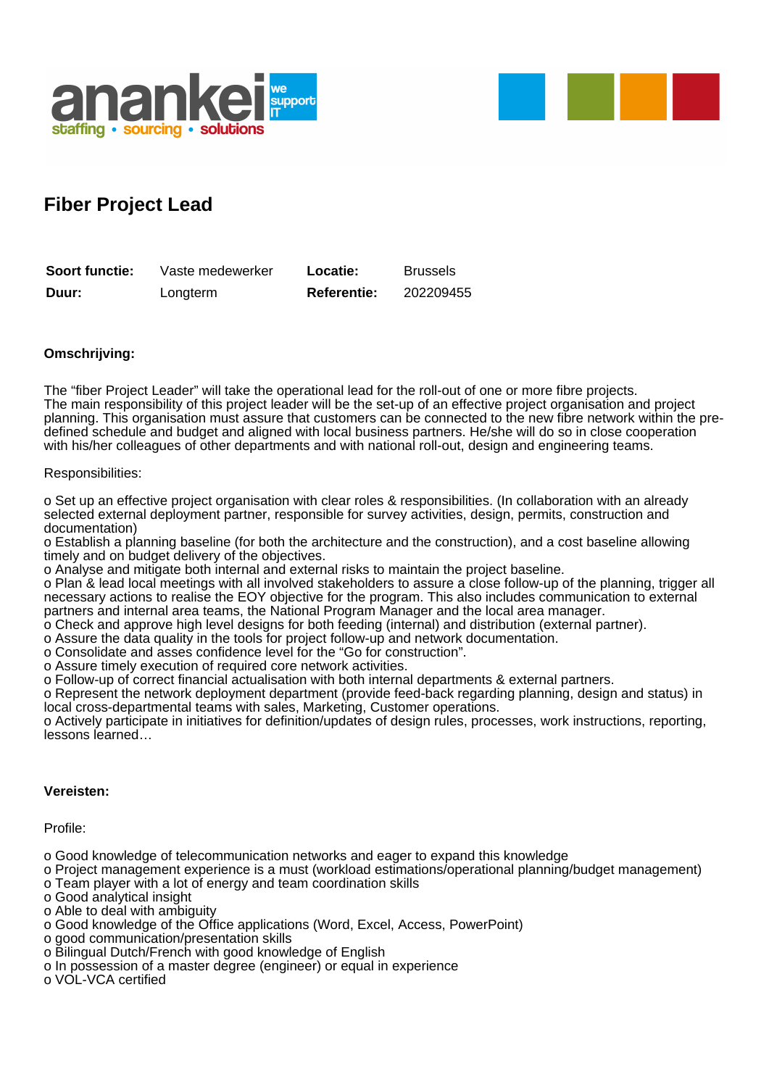



## **Fiber Project Lead**

| Soort functie: | Vaste medewerker | Locatie:           | Brussels  |
|----------------|------------------|--------------------|-----------|
| Duur:          | Longterm         | <b>Referentie:</b> | 202209455 |

## **Omschrijving:**

The "fiber Project Leader" will take the operational lead for the roll-out of one or more fibre projects. The main responsibility of this project leader will be the set-up of an effective project organisation and project planning. This organisation must assure that customers can be connected to the new fibre network within the predefined schedule and budget and aligned with local business partners. He/she will do so in close cooperation with his/her colleagues of other departments and with national roll-out, design and engineering teams.

## Responsibilities:

o Set up an effective project organisation with clear roles & responsibilities. (In collaboration with an already selected external deployment partner, responsible for survey activities, design, permits, construction and documentation)

o Establish a planning baseline (for both the architecture and the construction), and a cost baseline allowing timely and on budget delivery of the objectives.

o Analyse and mitigate both internal and external risks to maintain the project baseline.

o Plan & lead local meetings with all involved stakeholders to assure a close follow-up of the planning, trigger all necessary actions to realise the EOY objective for the program. This also includes communication to external partners and internal area teams, the National Program Manager and the local area manager.

o Check and approve high level designs for both feeding (internal) and distribution (external partner).

o Assure the data quality in the tools for project follow-up and network documentation.

o Consolidate and asses confidence level for the "Go for construction".

o Assure timely execution of required core network activities.

o Follow-up of correct financial actualisation with both internal departments & external partners.

o Represent the network deployment department (provide feed-back regarding planning, design and status) in local cross-departmental teams with sales, Marketing, Customer operations.

o Actively participate in initiatives for definition/updates of design rules, processes, work instructions, reporting, lessons learned…

## **Vereisten:**

Profile:

o Good knowledge of telecommunication networks and eager to expand this knowledge

o Project management experience is a must (workload estimations/operational planning/budget management)

- o Team player with a lot of energy and team coordination skills
- o Good analytical insight
- o Able to deal with ambiguity
- o Good knowledge of the Office applications (Word, Excel, Access, PowerPoint)
- o good communication/presentation skills
- o Bilingual Dutch/French with good knowledge of English
- o In possession of a master degree (engineer) or equal in experience

o VOL-VCA certified